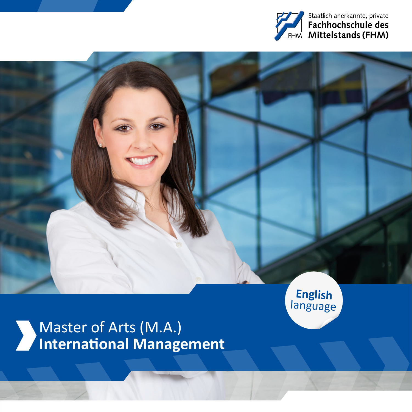

# Master of Arts (M.A.) **International Management**

**English**  language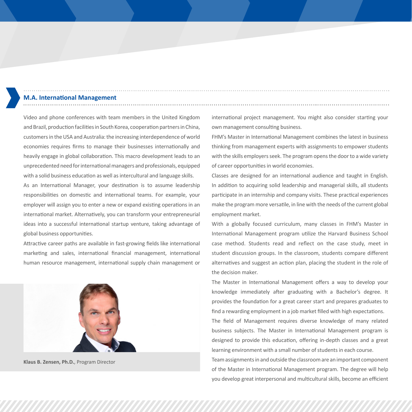## **M.A. International Management**

Video and phone conferences with team members in the United Kingdom and Brazil, production facilities in South Korea, cooperation partners in China, customers in the USA and Australia: the increasing interdependence of world economies requires firms to manage their businesses internationally and heavily engage in global collaboration. This macro development leads to an unprecedented need for international managers and professionals, equipped with a solid business education as well as intercultural and language skills.

As an International Manager, your destination is to assume leadership responsibilities on domestic and international teams. For example, your employer will assign you to enter a new or expand existing operations in an international market. Alternatively, you can transform your entrepreneurial ideas into a successful international startup venture, taking advantage of global business opportunities.

Attractive career paths are available in fast-growing fields like international marketing and sales, international financial management, international human resource management, international supply chain management or



**Klaus B. Zensen, Ph.D.**, Program Director

international project management. You might also consider starting your own management consulting business.

FHM's Master in International Management combines the latest in business thinking from management experts with assignments to empower students with the skills employers seek. The program opens the door to a wide variety of career opportunities in world economies.

Classes are designed for an international audience and taught in English. In addition to acquiring solid leadership and managerial skills, all students participate in an internship and company visits. These practical experiences make the program more versatile, in line with the needs of the current global employment market.

With a globally focused curriculum, many classes in FHM's Master in International Management program utilize the Harvard Business School case method. Students read and reflect on the case study, meet in student discussion groups. In the classroom, students compare different alternatives and suggest an action plan, placing the student in the role of the decision maker.

The Master in International Management offers a way to develop your knowledge immediately after graduating with a Bachelor's degree. It provides the foundation for a great career start and prepares graduates to find a rewarding employment in a job market filled with high expectations.

The field of Management requires diverse knowledge of many related business subjects. The Master in International Management program is designed to provide this education, offering in-depth classes and a great learning environment with a small number of students in each course.

Team assignments in and outside the classroom are an important component of the Master in International Management program. The degree will help you develop great interpersonal and multicultural skills, become an efficient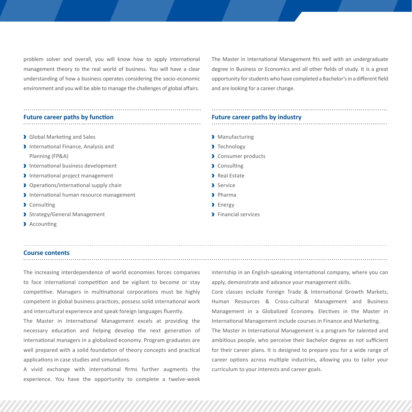problem solver and overall, you will know how to apply international management theory to the real world of business. You will have a clear understanding of how a business operates considering the socio-economic environment and you will be able to manage the challenges of global affairs.

The Master in International Management fits well with an undergraduate degree in Business or Economics and all other fields of study. It is a great opportunity for students who have completed a Bachelor's in a different field and are looking for a career change.

#### **Future career paths by function**

- Global Marketing and Sales
- International Finance, Analysis and Planning (FP&A)
- International business development
- International project management
- Derations/international supply chain
- International human resource management
- Consulting
- Strategy/General Management
- Accounting

### **Course contents**

The increasing interdependence of world economies forces companies to face international competition and be vigilant to become or stay competitive. Managers in multinational corporations must be highly competent in global business practices, possess solid international work and intercultural experience and speak foreign languages fluently.

The Master in International Management excels at providing the necessary education and helping develop the next generation of international managers in a globalized economy. Program graduates are well prepared with a solid foundation of theory concepts and practical applications in case studies and simulations.

A vivid exchange with international firms further augments the experience. You have the opportunity to complete a twelve-week

### **Future career paths by industry**

- > Manufacturing
- > Technology
- Consumer products
- Consulting
- Real Estate
- Service
- Pharma
- > Energy
- **Financial services**

internship in an English-speaking international company, where you can apply, demonstrate and advance your management skills.

Core classes include Foreign Trade & International Growth Markets, Human Resources & Cross-cultural Management and Business Management in a Globalized Economy. Electives in the Master in International Management include courses in Finance and Marketing.

The Master in International Management is a program for talented and ambitious people, who perceive their bachelor degree as not sufficient for their career plans. It is designed to prepare you for a wide range of career options across multiple industries, allowing you to tailor your curriculum to your interests and career goals.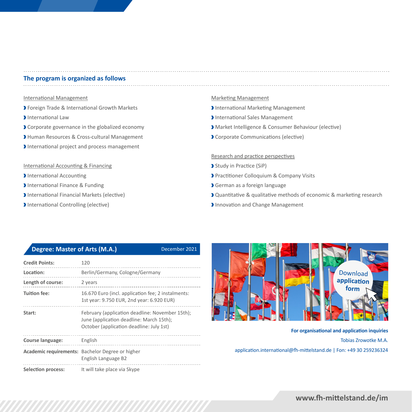### **The program is organized as follows**

#### International Management

- Foreign Trade & International Growth Markets
- **International Law**
- Corporate governance in the globalized economy
- Human Resources & Cross-cultural Management
- International project and process management

#### International Accounting & Financing

- **International Accounting**
- International Finance & Funding
- International Financial Markets (elective)
- International Controlling (elective)

#### Marketing Management

- International Marketing Management
- International Sales Management
- Market Intelligence & Consumer Behaviour (elective)
- Corporate Communications (elective)

#### Research and practice perspectives

- Study in Practice (SiP)
- Practitioner Colloquium & Company Visits
- German as a foreign language
- Quantitative & qualitative methods of economic & marketing research
- Innovation and Change Management

### **Degree: Master of Arts (M.A.)** December 2021

| <b>Credit Points:</b> | 120                                                                                                                                     |
|-----------------------|-----------------------------------------------------------------------------------------------------------------------------------------|
| Location:             | Berlin/Germany, Cologne/Germany                                                                                                         |
| Length of course:     | 2 years                                                                                                                                 |
| <b>Tuition fee:</b>   | 16.670 Euro (incl. application fee; 2 instalments:<br>1st year: 9.750 EUR, 2nd year: 6.920 EUR)                                         |
| Start:                | February (application deadline: November 15th);<br>June (application deadline: March 15th);<br>October (application deadline: July 1st) |
| Course language:      | English                                                                                                                                 |
|                       | Academic requirements: Bachelor Degree or higher<br>English Language B2                                                                 |
| Selection process:    | It will take place via Skype                                                                                                            |



**For organisational and application inquiries** Tobias Zrowotke M.A.

[application.international@fh-mittelstand.de](mailto:application.international@fh-mittelstand.de) | Fon: +49 30 259236324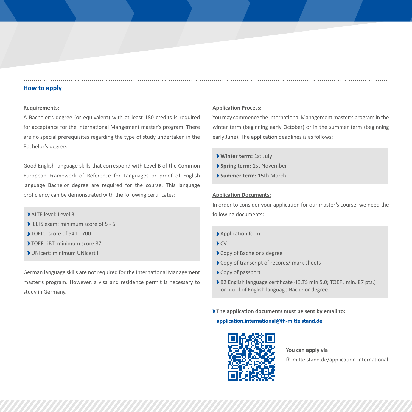#### **How to apply**

#### **Requirements:**

A Bachelor's degree (or equivalent) with at least 180 credits is required for acceptance for the International Mangement master's program. There are no special prerequisites regarding the type of study undertaken in the Bachelor's degree.

Good English language skills that correspond with Level B of the Common European Framework of Reference for Languages or proof of English language Bachelor degree are required for the course. This language proficiency can be demonstrated with the following certificates:

- ALTE level: Level 3
- IFLTS exam: minimum score of 5 6
- TOEIC: score of 541 700
- TOEFL iBT: minimum score 87
- UNIcert: minimum UNIcert II

German language skills are not required for the International Management master's program. However, a visa and residence permit is necessary to study in Germany.

#### **Application Process:**

You may commence the International Management master's program in the winter term (beginning early October) or in the summer term (beginning early June). The application deadlines is as follows:

- **Winter term:** 1st July
- **Spring term:** 1st November
- **Summer term:** 15th March

#### **Application Documents:**

In order to consider your application for our master's course, we need the following documents:

- Application form
- $\sum$
- Copy of Bachelor's degree
- **Copy of transcript of records/ mark sheets**
- Copy of passport
- B2 English language certificate (IELTS min 5.0: TOEFL min. 87 pts.) or proof of English language Bachelor degree
- **The application documents must be sent by email to:**

#### **[application.international@fh-mittelstand.de](mailto:application.international@fh-mittelstand.de)**



**You can apply via** [fh-mittelstand.de/application-international](https://fh-mittelstand.de/application-international)